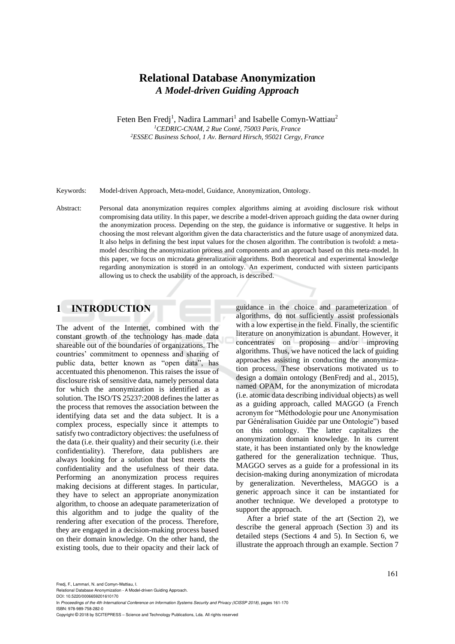# **Relational Database Anonymization** *A Model-driven Guiding Approach*

Feten Ben Fredj<sup>1</sup>, Nadira Lammari<sup>1</sup> and Isabelle Comyn-Wattiau<sup>2</sup> *<sup>1</sup>CEDRIC-CNAM, 2 Rue Conté, 75003 Paris, France <sup>2</sup>ESSEC Business School, 1 Av. Bernard Hirsch, 95021 Cergy, France*

Keywords: Model-driven Approach, Meta-model, Guidance, Anonymization, Ontology.

Abstract: Personal data anonymization requires complex algorithms aiming at avoiding disclosure risk without compromising data utility. In this paper, we describe a model-driven approach guiding the data owner during the anonymization process. Depending on the step, the guidance is informative or suggestive. It helps in choosing the most relevant algorithm given the data characteristics and the future usage of anonymized data. It also helps in defining the best input values for the chosen algorithm. The contribution is twofold: a metamodel describing the anonymization process and components and an approach based on this meta-model. In this paper, we focus on microdata generalization algorithms. Both theoretical and experimental knowledge regarding anonymization is stored in an ontology. An experiment, conducted with sixteen participants allowing us to check the usability of the approach, is described.

## **1 INTRODUCTION**

The advent of the Internet, combined with the constant growth of the technology has made data shareable out of the boundaries of organizations. The countries' commitment to openness and sharing of public data, better known as "open data", has accentuated this phenomenon. This raises the issue of disclosure risk of sensitive data, namely personal data for which the anonymization is identified as a solution. The ISO/TS 25237:2008 defines the latter as the process that removes the association between the identifying data set and the data subject. It is a complex process, especially since it attempts to satisfy two contradictory objectives: the usefulness of the data (i.e. their quality) and their security (i.e. their confidentiality). Therefore, data publishers are always looking for a solution that best meets the confidentiality and the usefulness of their data. Performing an anonymization process requires making decisions at different stages. In particular, they have to select an appropriate anonymization algorithm, to choose an adequate parameterization of this algorithm and to judge the quality of the rendering after execution of the process. Therefore, they are engaged in a decision-making process based on their domain knowledge. On the other hand, the existing tools, due to their opacity and their lack of

guidance in the choice and parameterization of algorithms, do not sufficiently assist professionals with a low expertise in the field. Finally, the scientific literature on anonymization is abundant. However, it concentrates on proposing and/or improving algorithms. Thus, we have noticed the lack of guiding approaches assisting in conducting the anonymization process. These observations motivated us to design a domain ontology (BenFredj and al., 2015), named OPAM, for the anonymization of microdata (i.e. atomic data describing individual objects) as well as a guiding approach, called MAGGO (a French acronym for "Méthodologie pour une Anonymisation par Généralisation Guidée par une Ontologie") based on this ontology. The latter capitalizes the anonymization domain knowledge. In its current state, it has been instantiated only by the knowledge gathered for the generalization technique. Thus, MAGGO serves as a guide for a professional in its decision-making during anonymization of microdata by generalization. Nevertheless, MAGGO is a generic approach since it can be instantiated for another technique. We developed a prototype to support the approach.

After a brief state of the art (Section 2), we describe the general approach (Section 3) and its detailed steps (Sections 4 and 5). In Section 6, we illustrate the approach through an example. Section 7

Fredj, F., Lammari, N. and Comyn-Wattiau, I.

Relational Database Anonymization - A Model-driven Guiding Approach. DOI: 10.5220/0006659201610170

In *Proceedings of the 4th International Conference on Information Systems Security and Privacy (ICISSP 2018)*, pages 161-170 ISBN: 978-989-758-282-0

Copyright © 2018 by SCITEPRESS – Science and Technology Publications, Lda. All rights reserved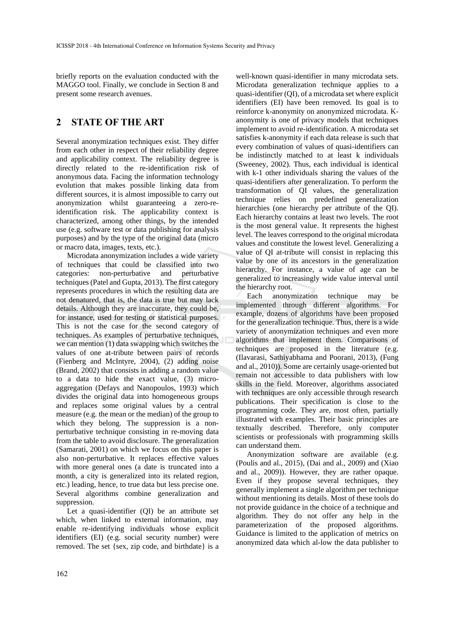briefly reports on the evaluation conducted with the MAGGO tool. Finally, we conclude in Section 8 and present some research avenues.

# **2 STATE OF THE ART**

Several anonymization techniques exist. They differ from each other in respect of their reliability degree and applicability context. The reliability degree is directly related to the re-identification risk of anonymous data. Facing the information technology evolution that makes possible linking data from different sources, it is almost impossible to carry out anonymization whilst guaranteeing a zero-reidentification risk. The applicability context is characterized, among other things, by the intended use (e.g. software test or data publishing for analysis purposes) and by the type of the original data (micro or macro data, images, texts, etc.).

Microdata anonymization includes a wide variety of techniques that could be classified into two categories: non-perturbative and perturbative techniques (Patel and Gupta, 2013). The first category represents procedures in which the resulting data are not denatured, that is, the data is true but may lack details. Although they are inaccurate, they could be, for instance, used for testing or statistical purposes. This is not the case for the second category of techniques. As examples of perturbative techniques, we can mention (1) data swapping which switches the values of one at-tribute between pairs of records (Fienberg and McIntyre, 2004), (2) adding noise (Brand, 2002) that consists in adding a random value to a data to hide the exact value, (3) microaggregation (Defays and Nanopoulos, 1993) which divides the original data into homogeneous groups and replaces some original values by a central measure (e.g. the mean or the median) of the group to which they belong. The suppression is a nonperturbative technique consisting in re-moving data from the table to avoid disclosure. The generalization (Samarati, 2001) on which we focus on this paper is also non-perturbative. It replaces effective values with more general ones (a date is truncated into a month, a city is generalized into its related region, etc.) leading, hence, to true data but less precise one. Several algorithms combine generalization and suppression.

Let a quasi-identifier (QI) be an attribute set which, when linked to external information, may enable re-identifying individuals whose explicit identifiers (EI) (e.g. social security number) were removed. The set {sex, zip code, and birthdate} is a

well-known quasi-identifier in many microdata sets. Microdata generalization technique applies to a quasi-identifier (QI), of a microdata set where explicit identifiers (EI) have been removed. Its goal is to reinforce k-anonymity on anonymized microdata. Kanonymity is one of privacy models that techniques implement to avoid re-identification. A microdata set satisfies k-anonymity if each data release is such that every combination of values of quasi-identifiers can be indistinctly matched to at least k individuals (Sweeney, 2002). Thus, each individual is identical with k-1 other individuals sharing the values of the quasi-identifiers after generalization. To perform the transformation of QI values, the generalization technique relies on predefined generalization hierarchies (one hierarchy per attribute of the OI). Each hierarchy contains at least two levels. The root is the most general value. It represents the highest level. The leaves correspond to the original microdata values and constitute the lowest level. Generalizing a value of QI at-tribute will consist in replacing this value by one of its ancestors in the generalization hierarchy. For instance, a value of age can be generalized to increasingly wide value interval until the hierarchy root.

Each anonymization technique may be implemented through different algorithms. For example, dozens of algorithms have been proposed for the generalization technique. Thus, there is a wide variety of anonymization techniques and even more algorithms that implement them. Comparisons of techniques are proposed in the literature (e.g. (Ilavarasi, Sathiyabhama and Poorani, 2013), (Fung and al., 2010)). Some are certainly usage-oriented but remain not accessible to data publishers with low skills in the field. Moreover, algorithms associated with techniques are only accessible through research publications. Their specification is close to the programming code. They are, most often, partially illustrated with examples. Their basic principles are textually described. Therefore, only computer scientists or professionals with programming skills can understand them.

Anonymization software are available (e.g. (Poulis and al., 2015), (Dai and al., 2009) and (Xiao and al., 2009)). However, they are rather opaque. Even if they propose several techniques, they generally implement a single algorithm per technique without mentioning its details. Most of these tools do not provide guidance in the choice of a technique and algorithm. They do not offer any help in the parameterization of the proposed algorithms. Guidance is limited to the application of metrics on anonymized data which al-low the data publisher to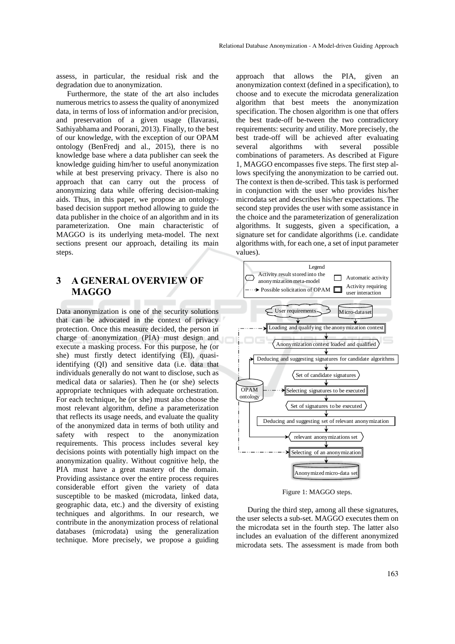assess, in particular, the residual risk and the degradation due to anonymization.

Furthermore, the state of the art also includes numerous metrics to assess the quality of anonymized data, in terms of loss of information and/or precision, and preservation of a given usage (Ilavarasi, Sathiyabhama and Poorani, 2013). Finally, to the best of our knowledge, with the exception of our OPAM ontology (BenFredj and al., 2015), there is no knowledge base where a data publisher can seek the knowledge guiding him/her to useful anonymization while at best preserving privacy. There is also no approach that can carry out the process of anonymizing data while offering decision-making aids. Thus, in this paper, we propose an ontologybased decision support method allowing to guide the data publisher in the choice of an algorithm and in its parameterization. One main characteristic of MAGGO is its underlying meta-model. The next sections present our approach, detailing its main steps.

# **3 A GENERAL OVERVIEW OF MAGGO**

Data anonymization is one of the security solutions that can be advocated in the context of privacy protection. Once this measure decided, the person in charge of anonymization (PIA) must design and execute a masking process. For this purpose, he (or she) must firstly detect identifying (EI), quasiidentifying (QI) and sensitive data (i.e. data that individuals generally do not want to disclose, such as medical data or salaries). Then he (or she) selects appropriate techniques with adequate orchestration. For each technique, he (or she) must also choose the most relevant algorithm, define a parameterization that reflects its usage needs, and evaluate the quality of the anonymized data in terms of both utility and safety with respect to the anonymization requirements. This process includes several key decisions points with potentially high impact on the anonymization quality. Without cognitive help, the PIA must have a great mastery of the domain. Providing assistance over the entire process requires considerable effort given the variety of data susceptible to be masked (microdata, linked data, geographic data, etc.) and the diversity of existing techniques and algorithms. In our research, we contribute in the anonymization process of relational databases (microdata) using the generalization technique. More precisely, we propose a guiding

approach that allows the PIA, given an anonymization context (defined in a specification), to choose and to execute the microdata generalization algorithm that best meets the anonymization specification. The chosen algorithm is one that offers the best trade-off be-tween the two contradictory requirements: security and utility. More precisely, the best trade-off will be achieved after evaluating several algorithms with several possible combinations of parameters. As described at Figure 1, MAGGO encompasses five steps. The first step allows specifying the anonymization to be carried out. The context is then de-scribed. This task is performed in conjunction with the user who provides his/her microdata set and describes his/her expectations. The second step provides the user with some assistance in the choice and the parameterization of generalization algorithms. It suggests, given a specification, a signature set for candidate algorithms (i.e. candidate algorithms with, for each one, a set of input parameter values).



Figure 1: MAGGO steps.

During the third step, among all these signatures, the user selects a sub-set. MAGGO executes them on the microdata set in the fourth step. The latter also includes an evaluation of the different anonymized microdata sets. The assessment is made from both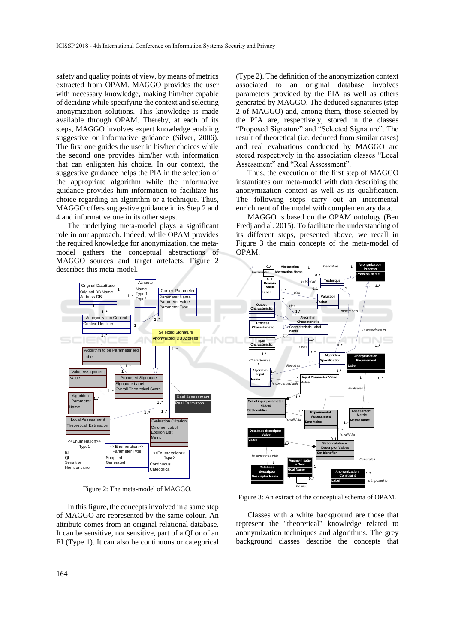safety and quality points of view, by means of metrics extracted from OPAM. MAGGO provides the user with necessary knowledge, making him/her capable of deciding while specifying the context and selecting anonymization solutions. This knowledge is made available through OPAM. Thereby, at each of its steps, MAGGO involves expert knowledge enabling suggestive or informative guidance (Silver, 2006). The first one guides the user in his/her choices while the second one provides him/her with information that can enlighten his choice. In our context, the suggestive guidance helps the PIA in the selection of the appropriate algorithm while the informative guidance provides him information to facilitate his choice regarding an algorithm or a technique. Thus, MAGGO offers suggestive guidance in its Step 2 and 4 and informative one in its other steps.

The underlying meta-model plays a significant role in our approach. Indeed, while OPAM provides the required knowledge for anonymization, the metamodel gathers the conceptual abstractions of MAGGO sources and target artefacts. Figure 2 describes this meta-model.



Figure 2: The meta-model of MAGGO.

In this figure, the concepts involved in a same step of MAGGO are represented by the same colour. An attribute comes from an original relational database. It can be sensitive, not sensitive, part of a QI or of an EI (Type 1). It can also be continuous or categorical (Type 2). The definition of the anonymization context associated to an original database involves parameters provided by the PIA as well as others generated by MAGGO. The deduced signatures (step 2 of MAGGO) and, among them, those selected by the PIA are, respectively, stored in the classes "Proposed Signature" and "Selected Signature". The result of theoretical (i.e. deduced from similar cases) and real evaluations conducted by MAGGO are stored respectively in the association classes "Local Assessment" and "Real Assessment".

Thus, the execution of the first step of MAGGO instantiates our meta-model with data describing the anonymization context as well as its qualification. The following steps carry out an incremental enrichment of the model with complementary data.

MAGGO is based on the OPAM ontology (Ben Fredj and al. 2015). To facilitate the understanding of its different steps, presented above, we recall in Figure 3 the main concepts of the meta-model of OPAM.



Figure 3: An extract of the conceptual schema of OPAM.

Classes with a white background are those that represent the "theoretical" knowledge related to anonymization techniques and algorithms. The grey background classes describe the concepts that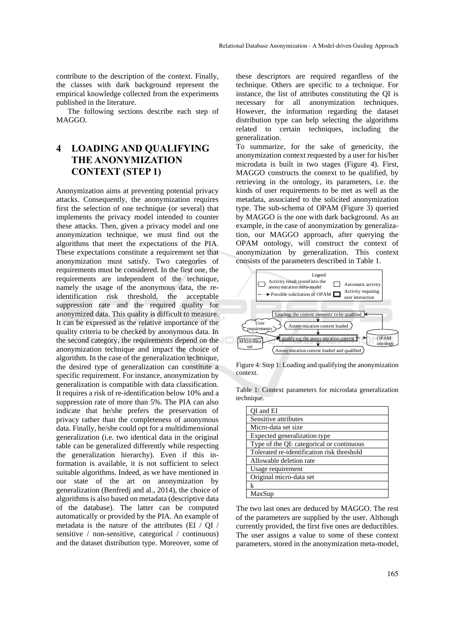contribute to the description of the context. Finally, the classes with dark background represent the empirical knowledge collected from the experiments published in the literature.

The following sections describe each step of MAGGO.

# **4 LOADING AND QUALIFYING THE ANONYMIZATION CONTEXT (STEP 1)**

Anonymization aims at preventing potential privacy attacks. Consequently, the anonymization requires first the selection of one technique (or several) that implements the privacy model intended to counter these attacks. Then, given a privacy model and one anonymization technique, we must find out the algorithms that meet the expectations of the PIA. These expectations constitute a requirement set that anonymization must satisfy. Two categories of requirements must be considered. In the first one, the requirements are independent of the technique, namely the usage of the anonymous data, the reidentification risk threshold, the acceptable suppression rate and the required quality for anonymized data. This quality is difficult to measure. It can be expressed as the relative importance of the quality criteria to be checked by anonymous data. In the second category, the requirements depend on the anonymization technique and impact the choice of algorithm. In the case of the generalization technique, the desired type of generalization can constitute a specific requirement. For instance, anonymization by generalization is compatible with data classification. It requires a risk of re-identification below 10% and a suppression rate of more than 5%. The PIA can also indicate that he/she prefers the preservation of privacy rather than the completeness of anonymous data. Finally, he/she could opt for a multidimensional generalization (i.e. two identical data in the original table can be generalized differently while respecting the generalization hierarchy). Even if this information is available, it is not sufficient to select suitable algorithms. Indeed, as we have mentioned in our state of the art on anonymization by generalization (Benfredj and al., 2014), the choice of algorithms is also based on metadata (descriptive data of the database). The latter can be computed automatically or provided by the PIA. An example of metadata is the nature of the attributes (EI / QI / sensitive / non-sensitive, categorical / continuous) and the dataset distribution type. Moreover, some of

these descriptors are required regardless of the technique. Others are specific to a technique. For instance, the list of attributes constituting the QI is necessary for all anonymization techniques. However, the information regarding the dataset distribution type can help selecting the algorithms related to certain techniques, including the generalization.

To summarize, for the sake of genericity, the anonymization context requested by a user for his/her microdata is built in two stages (Figure 4). First, MAGGO constructs the context to be qualified, by retrieving in the ontology, its parameters, i.e. the kinds of user requirements to be met as well as the metadata, associated to the solicited anonymization type. The sub-schema of OPAM (Figure 3) queried by MAGGO is the one with dark background. As an example, in the case of anonymization by generalization, our MAGGO approach, after querying the OPAM ontology, will construct the context of anonymization by generalization. This context consists of the parameters described in Table 1.



Figure 4: Step 1: Loading and qualifying the anonymization context.

Table 1: Context parameters for microdata generalization technique.

| OI and EI                                  |
|--------------------------------------------|
| Sensitive attributes                       |
| Micro-data set size                        |
| Expected generalization type               |
| Type of the QI: categorical or continuous  |
| Tolerated re-identification risk threshold |
| Allowable deletion rate                    |
| Usage requirement                          |
| Original micro-data set                    |
| k                                          |
| MaxSup                                     |

The two last ones are deduced by MAGGO. The rest of the parameters are supplied by the user. Although currently provided, the first five ones are deductibles. The user assigns a value to some of these context parameters, stored in the anonymization meta-model,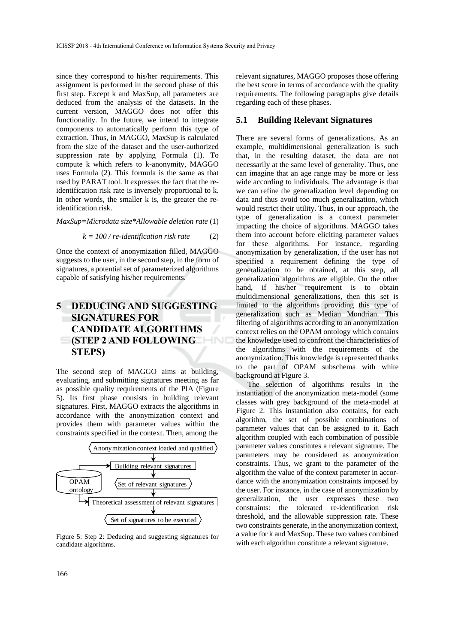since they correspond to his/her requirements. This assignment is performed in the second phase of this first step. Except k and MaxSup, all parameters are deduced from the analysis of the datasets. In the current version, MAGGO does not offer this functionality. In the future, we intend to integrate components to automatically perform this type of extraction. Thus, in MAGGO, MaxSup is calculated from the size of the dataset and the user-authorized suppression rate by applying Formula (1). To compute k which refers to k-anonymity, MAGGO uses Formula (2). This formula is the same as that used by PARAT tool. It expresses the fact that the reidentification risk rate is inversely proportional to k. In other words, the smaller k is, the greater the reidentification risk.

*MaxSup=Microdata size\*Allowable deletion rate* (1)

 $k = 100 / re-identification risk rate$  (2)

Once the context of anonymization filled, MAGGO suggests to the user, in the second step, in the form of signatures, a potential set of parameterized algorithms capable of satisfying his/her requirements.

# **5 DEDUCING AND SUGGESTING SIGNATURES FOR CANDIDATE ALGORITHMS (STEP 2 AND FOLLOWING STEPS)**

The second step of MAGGO aims at building, evaluating, and submitting signatures meeting as far as possible quality requirements of the PIA (Figure 5). Its first phase consists in building relevant signatures. First, MAGGO extracts the algorithms in accordance with the anonymization context and provides them with parameter values within the constraints specified in the context. Then, among the



Figure 5: Step 2: Deducing and suggesting signatures for candidate algorithms.

relevant signatures, MAGGO proposes those offering the best score in terms of accordance with the quality requirements. The following paragraphs give details regarding each of these phases.

#### **5.1 Building Relevant Signatures**

There are several forms of generalizations. As an example, multidimensional generalization is such that, in the resulting dataset, the data are not necessarily at the same level of generality. Thus, one can imagine that an age range may be more or less wide according to individuals. The advantage is that we can refine the generalization level depending on data and thus avoid too much generalization, which would restrict their utility. Thus, in our approach, the type of generalization is a context parameter impacting the choice of algorithms. MAGGO takes them into account before eliciting parameter values for these algorithms. For instance, regarding anonymization by generalization, if the user has not specified a requirement defining the type of generalization to be obtained, at this step, all generalization algorithms are eligible. On the other hand, if his/her requirement is to obtain multidimensional generalizations, then this set is limited to the algorithms providing this type of generalization such as Median Mondrian. This filtering of algorithms according to an anonymization context relies on the OPAM ontology which contains the knowledge used to confront the characteristics of the algorithms with the requirements of the anonymization. This knowledge is represented thanks to the part of OPAM subschema with white background at Figure 3.

The selection of algorithms results in the instantiation of the anonymization meta-model (some classes with grey background of the meta-model at Figure 2. This instantiation also contains, for each algorithm, the set of possible combinations of parameter values that can be assigned to it. Each algorithm coupled with each combination of possible parameter values constitutes a relevant signature. The parameters may be considered as anonymization constraints. Thus, we grant to the parameter of the algorithm the value of the context parameter in accordance with the anonymization constraints imposed by the user. For instance, in the case of anonymization by generalization, the user expresses these two constraints: the tolerated re-identification risk threshold, and the allowable suppression rate. These two constraints generate, in the anonymization context, a value for k and MaxSup. These two values combined with each algorithm constitute a relevant signature.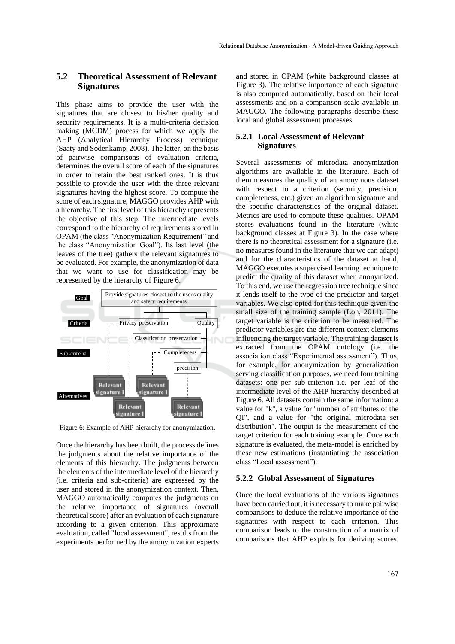### **5.2 Theoretical Assessment of Relevant Signatures**

This phase aims to provide the user with the signatures that are closest to his/her quality and security requirements. It is a multi-criteria decision making (MCDM) process for which we apply the AHP (Analytical Hierarchy Process) technique (Saaty and Sodenkamp, 2008). The latter, on the basis of pairwise comparisons of evaluation criteria, determines the overall score of each of the signatures in order to retain the best ranked ones. It is thus possible to provide the user with the three relevant signatures having the highest score. To compute the score of each signature, MAGGO provides AHP with a hierarchy. The first level of this hierarchy represents the objective of this step. The intermediate levels correspond to the hierarchy of requirements stored in OPAM (the class "Anonymization Requirement" and the class "Anonymization Goal"). Its last level (the leaves of the tree) gathers the relevant signatures to be evaluated. For example, the anonymization of data that we want to use for classification may be represented by the hierarchy of Figure 6.



Figure 6: Example of AHP hierarchy for anonymization.

Once the hierarchy has been built, the process defines the judgments about the relative importance of the elements of this hierarchy. The judgments between the elements of the intermediate level of the hierarchy (i.e. criteria and sub-criteria) are expressed by the user and stored in the anonymization context. Then, MAGGO automatically computes the judgments on the relative importance of signatures (overall theoretical score) after an evaluation of each signature according to a given criterion. This approximate evaluation, called "local assessment", results from the experiments performed by the anonymization experts

and stored in OPAM (white background classes at Figure 3). The relative importance of each signature is also computed automatically, based on their local assessments and on a comparison scale available in MAGGO. The following paragraphs describe these local and global assessment processes.

#### **5.2.1 Local Assessment of Relevant Signatures**

Several assessments of microdata anonymization algorithms are available in the literature. Each of them measures the quality of an anonymous dataset with respect to a criterion (security, precision, completeness, etc.) given an algorithm signature and the specific characteristics of the original dataset. Metrics are used to compute these qualities. OPAM stores evaluations found in the literature (white background classes at Figure 3). In the case where there is no theoretical assessment for a signature (i.e. no measures found in the literature that we can adapt) and for the characteristics of the dataset at hand, MAGGO executes a supervised learning technique to predict the quality of this dataset when anonymized. To this end, we use the regression tree technique since it lends itself to the type of the predictor and target variables. We also opted for this technique given the small size of the training sample (Loh, 2011). The target variable is the criterion to be measured. The predictor variables are the different context elements influencing the target variable. The training dataset is extracted from the OPAM ontology (i.e. the association class "Experimental assessment"). Thus, for example, for anonymization by generalization serving classification purposes, we need four training datasets: one per sub-criterion i.e. per leaf of the intermediate level of the AHP hierarchy described at Figure 6. All datasets contain the same information: a value for "k", a value for "number of attributes of the QI", and a value for "the original microdata set distribution". The output is the measurement of the target criterion for each training example. Once each signature is evaluated, the meta-model is enriched by these new estimations (instantiating the association class "Local assessment").

#### **5.2.2 Global Assessment of Signatures**

Once the local evaluations of the various signatures have been carried out, it is necessary to make pairwise comparisons to deduce the relative importance of the signatures with respect to each criterion. This comparison leads to the construction of a matrix of comparisons that AHP exploits for deriving scores.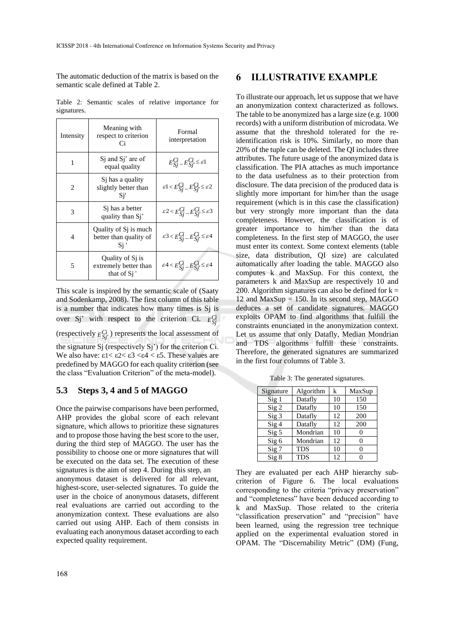The automatic deduction of the matrix is based on the semantic scale defined at Table 2.

Table 2: Semantic scales of relative importance for signatures.

| Intensity      | Meaning with<br>respect to criterion<br>Сi                           | Formal<br>interpretation                                              |  |
|----------------|----------------------------------------------------------------------|-----------------------------------------------------------------------|--|
| 1              | S <sub>i</sub> and S <sub>i</sub> ' are of<br>equal quality          | $E_{Si}^{Ci} - E_{Si}^{Ci} \leq \varepsilon$ 1                        |  |
| $\overline{c}$ | Si has a quality<br>slightly better than<br>Si'                      | $\mathcal{E}1 < E_{Si}^{Ci} - E_{Si}^{Ci} \leq \mathcal{E}2$          |  |
| 3              | Si has a better<br>quality than Sj'                                  | $\mathcal{E}^2 \leq E_{S}^C i - E_{S}^C i \leq \mathcal{E}^3$         |  |
| 4              | Quality of S <sub>1</sub> is much<br>better than quality of<br>Si    | $\mathcal{E}^3 \leq E_{S_i}^{C_i} - E_{S_i}^{C_i} \leq \mathcal{E}^4$ |  |
| 5              | Quality of S <sub>1</sub> is<br>extremely better than<br>that of Si' | $\mathcal{E}^4 \leq E_{Si}^{Ci} - E_{Si}^{Ci} \leq \mathcal{E}^4$     |  |

This scale is inspired by the semantic scale of (Saaty and Sodenkamp, 2008). The first column of this table is a number that indicates how many times is Sj is over Sj' with respect to the criterion Ci. *E Ci Sj* (respectively  $E_{Sj'}^{Ci}$ ) represents the local assessment of the signature Sj (respectively Sj') for the criterion Ci. We also have:  $\epsilon 1 < \epsilon 2 < \epsilon 3 < \epsilon 4 < \epsilon 5$ . These values are predefined by MAGGO for each quality criterion (see the class "Evaluation Criterion" of the meta-model).

#### **5.3 Steps 3, 4 and 5 of MAGGO**

Once the pairwise comparisons have been performed, AHP provides the global score of each relevant signature, which allows to prioritize these signatures and to propose those having the best score to the user, during the third step of MAGGO. The user has the possibility to choose one or more signatures that will be executed on the data set. The execution of these signatures is the aim of step 4. During this step, an anonymous dataset is delivered for all relevant, highest-score, user-selected signatures. To guide the user in the choice of anonymous datasets, different real evaluations are carried out according to the anonymization context. These evaluations are also carried out using AHP. Each of them consists in evaluating each anonymous dataset according to each expected quality requirement.

### **6 ILLUSTRATIVE EXAMPLE**

To illustrate our approach, let us suppose that we have an anonymization context characterized as follows. The table to be anonymized has a large size (e.g. 1000 records) with a uniform distribution of microdata. We assume that the threshold tolerated for the reidentification risk is 10%. Similarly, no more than 20% of the tuple can be deleted. The QI includes three attributes. The future usage of the anonymized data is classification. The PIA attaches as much importance to the data usefulness as to their protection from disclosure. The data precision of the produced data is slightly more important for him/her than the usage requirement (which is in this case the classification) but very strongly more important than the data completeness. However, the classification is of greater importance to him/her than the data completeness. In the first step of MAGGO, the user must enter its context. Some context elements (table size, data distribution, QI size) are calculated automatically after loading the table. MAGGO also computes k and MaxSup. For this context, the parameters k and MaxSup are respectively 10 and 200. Algorithm signatures can also be defined for  $k =$ 12 and  $MaxSup = 150$ . In its second step, MAGGO deduces a set of candidate signatures. MAGGO exploits OPAM to find algorithms that fulfill the constraints enunciated in the anonymization context. Let us assume that only Datafly, Median Mondrian and TDS algorithms fulfill these constraints. Therefore, the generated signatures are summarized in the first four columns of Table 3.

| Signature              | Algorithm  | k  | MaxSup |
|------------------------|------------|----|--------|
| Sig <sub>1</sub>       | Datafly    | 10 | 150    |
| $\operatorname{Sig} 2$ | Datafly    | 10 | 150    |
| Sig 3                  | Datafly    | 12 | 200    |
| Sig <sub>4</sub>       | Datafly    | 12 | 200    |
| Sig <sub>5</sub>       | Mondrian   | 10 | 0      |
| Sig 6                  | Mondrian   | 12 | 0      |
| Sig 7                  | <b>TDS</b> | 10 |        |
| Sig 8                  | <b>TDS</b> | 12 |        |

Table 3: The generated signatures.

They are evaluated per each AHP hierarchy subcriterion of Figure 6. The local evaluations corresponding to the criteria "privacy preservation" and "completeness" have been deduced according to k and MaxSup. Those related to the criteria "classification preservation" and "precision" have been learned, using the regression tree technique applied on the experimental evaluation stored in OPAM. The "Discernability Metric" (DM) (Fung,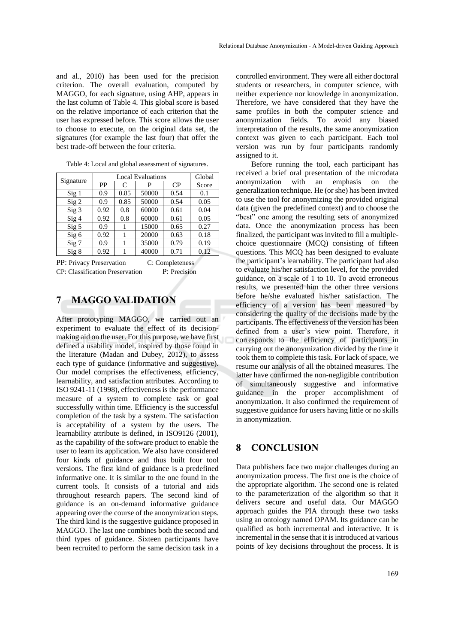and al., 2010) has been used for the precision criterion. The overall evaluation, computed by MAGGO, for each signature, using AHP, appears in the last column of Table 4. This global score is based on the relative importance of each criterion that the user has expressed before. This score allows the user to choose to execute, on the original data set, the signatures (for example the last four) that offer the best trade-off between the four criteria.

|                        | <b>Local Evaluations</b> |      |       |      | Global |
|------------------------|--------------------------|------|-------|------|--------|
| Signature              | PP                       | C    | P     | CP   | Score  |
| Sig <sub>1</sub>       | 0.9                      | 0.85 | 50000 | 0.54 | 0.1    |
| $Sig$ 2                | 0.9                      | 0.85 | 50000 | 0.54 | 0.05   |
| Sig <sub>3</sub>       | 0.92                     | 0.8  | 60000 | 0.61 | 0.04   |
| $\operatorname{Sig} 4$ | 0.92                     | 0.8  | 60000 | 0.61 | 0.05   |
| Sig <sub>5</sub>       | 0.9                      |      | 15000 | 0.65 | 0.27   |
| Sig 6                  | 0.92                     |      | 20000 | 0.63 | 0.18   |
| Sig 7                  | 0.9                      |      | 35000 | 0.79 | 0.19   |
| Sig 8                  | 0.92                     |      | 40000 | 0.71 | 0.12   |

Table 4: Local and global assessment of signatures.

PP: Privacy Preservation C: Completeness CP: Classification Preservation P: Precision

### **7 MAGGO VALIDATION**

After prototyping MAGGO, we carried out an experiment to evaluate the effect of its decisionmaking aid on the user. For this purpose, we have first defined a usability model, inspired by those found in the literature (Madan and Dubey, 2012), to assess each type of guidance (informative and suggestive). Our model comprises the effectiveness, efficiency, learnability, and satisfaction attributes. According to ISO 9241-11 (1998), effectiveness is the performance measure of a system to complete task or goal successfully within time. Efficiency is the successful completion of the task by a system. The satisfaction is acceptability of a system by the users. The learnability attribute is defined, in ISO9126 (2001), as the capability of the software product to enable the user to learn its application. We also have considered four kinds of guidance and thus built four tool versions. The first kind of guidance is a predefined informative one. It is similar to the one found in the current tools. It consists of a tutorial and aids throughout research papers. The second kind of guidance is an on-demand informative guidance appearing over the course of the anonymization steps. The third kind is the suggestive guidance proposed in MAGGO. The last one combines both the second and third types of guidance. Sixteen participants have been recruited to perform the same decision task in a

controlled environment. They were all either doctoral students or researchers, in computer science, with neither experience nor knowledge in anonymization. Therefore, we have considered that they have the same profiles in both the computer science and anonymization fields. To avoid any biased interpretation of the results, the same anonymization context was given to each participant. Each tool version was run by four participants randomly assigned to it.

Before running the tool, each participant has received a brief oral presentation of the microdata anonymization with an emphasis on the generalization technique. He (or she) has been invited to use the tool for anonymizing the provided original data (given the predefined context) and to choose the "best" one among the resulting sets of anonymized data. Once the anonymization process has been finalized, the participant was invited to fill a multiplechoice questionnaire (MCQ) consisting of fifteen questions. This MCQ has been designed to evaluate the participant's learnability. The participant had also to evaluate his/her satisfaction level, for the provided guidance, on a scale of 1 to 10. To avoid erroneous results, we presented him the other three versions before he/she evaluated his/her satisfaction. The efficiency of a version has been measured by considering the quality of the decisions made by the participants. The effectiveness of the version has been defined from a user's view point. Therefore, it corresponds to the efficiency of participants in carrying out the anonymization divided by the time it took them to complete this task. For lack of space, we resume our analysis of all the obtained measures. The latter have confirmed the non-negligible contribution of simultaneously suggestive and informative guidance in the proper accomplishment of anonymization. It also confirmed the requirement of suggestive guidance for users having little or no skills in anonymization.

### **8 CONCLUSION**

Data publishers face two major challenges during an anonymization process. The first one is the choice of the appropriate algorithm. The second one is related to the parameterization of the algorithm so that it delivers secure and useful data. Our MAGGO approach guides the PIA through these two tasks using an ontology named OPAM. Its guidance can be qualified as both incremental and interactive. It is incremental in the sense that it is introduced at various points of key decisions throughout the process. It is